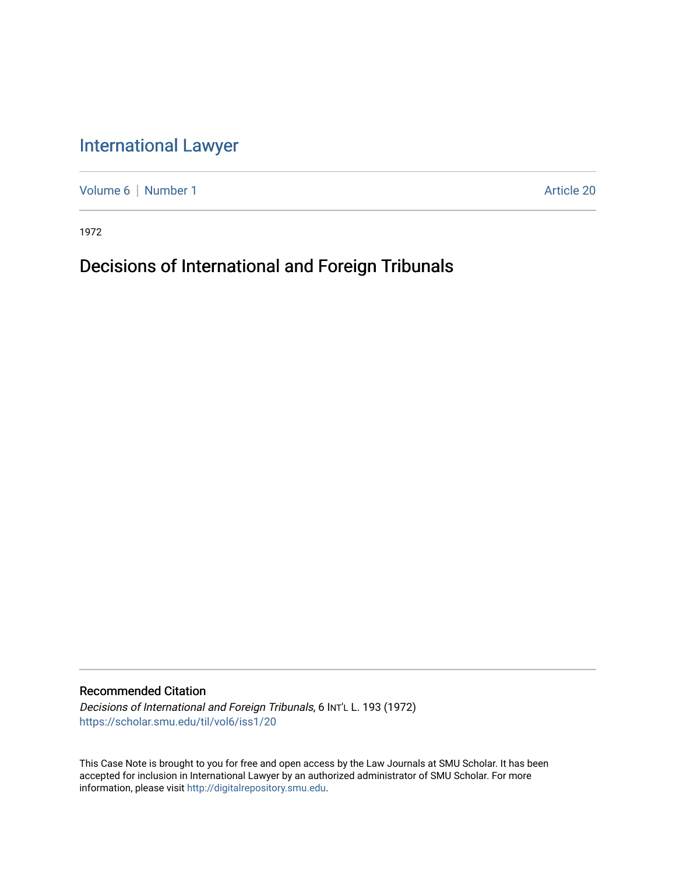# [International Lawyer](https://scholar.smu.edu/til)

[Volume 6](https://scholar.smu.edu/til/vol6) | [Number 1](https://scholar.smu.edu/til/vol6/iss1) Article 20

1972

# Decisions of International and Foreign Tribunals

Recommended Citation

Decisions of International and Foreign Tribunals, 6 INT'L L. 193 (1972) [https://scholar.smu.edu/til/vol6/iss1/20](https://scholar.smu.edu/til/vol6/iss1/20?utm_source=scholar.smu.edu%2Ftil%2Fvol6%2Fiss1%2F20&utm_medium=PDF&utm_campaign=PDFCoverPages)

This Case Note is brought to you for free and open access by the Law Journals at SMU Scholar. It has been accepted for inclusion in International Lawyer by an authorized administrator of SMU Scholar. For more information, please visit [http://digitalrepository.smu.edu](http://digitalrepository.smu.edu/).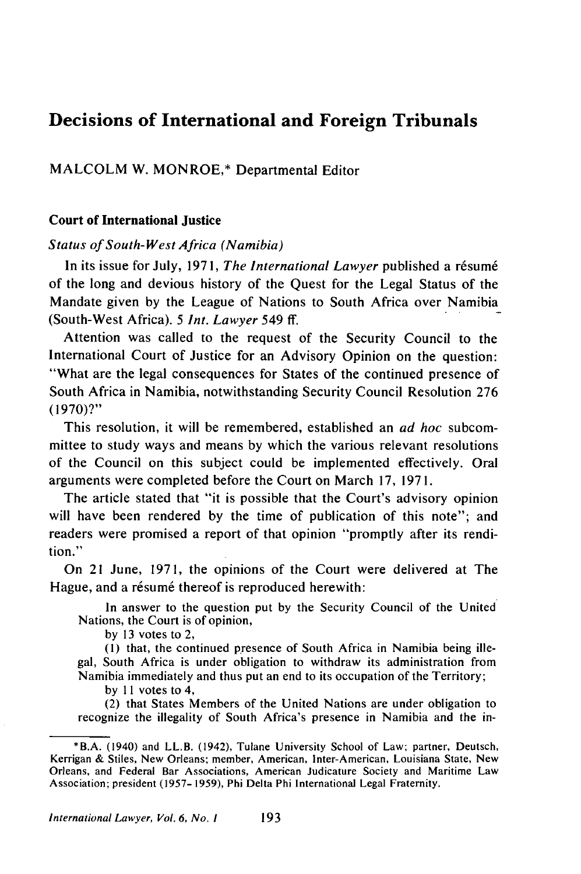# **Decisions of International and Foreign Tribunals**

MALCOLM W. MONROE,\* Departmental Editor

#### Court of International Justice

#### *Status of South-West Africa (Namibia)*

In its issue for July, 1971, *The International Lawyer* published a résumé of the long and devious history of the Quest for the Legal Status of the Mandate given by the League of Nations to South Africa over Namibia (South-West Africa). *5 Int. Lawyer 549* **ff.**

Attention was called to the request of the Security Council to the International Court of Justice for an Advisory Opinion on the question: "What are the legal consequences for States of the continued presence of South Africa in Namibia, notwithstanding Security Council Resolution 276 (1970)?"

This resolution, it will be remembered, established an *ad hoc* subcommittee to study ways and means by which the various relevant resolutions of the Council on this subject could be implemented effectively. Oral arguments were completed before the Court on March 17, 1971.

The article stated that "it is possible that the Court's advisory opinion will have been rendered by the time of publication of this note"; and readers were promised a report of that opinion "promptly after its rendition."

On 21 June, 1971, the opinions of the Court were delivered at The Hague, and a résumé thereof is reproduced herewith:

In answer to the question put by the Security Council of the United Nations, the Court is of opinion,

by 13 votes to 2,

(1) that, the continued presence of South Africa in Namibia being illegal, South Africa is under obligation to withdraw its administration from Namibia immediately and thus put an end to its occupation of the Territory;

by 11 votes to 4,

(2) that States Members of the United Nations are under obligation to recognize the illegality of South Africa's presence in Namibia and the in-

<sup>\*</sup>B.A. (1940) and LL.B. (1942), Tulane University School of Law; partner, Deutsch, Kerrigan & Stiles, New Orleans; member, American, Inter-American, Louisiana State, New Orleans, and Federal Bar Associations, American Judicature Society and Maritime Law Association; president (1957- 1959), Phi Delta Phi International Legal Fraternity.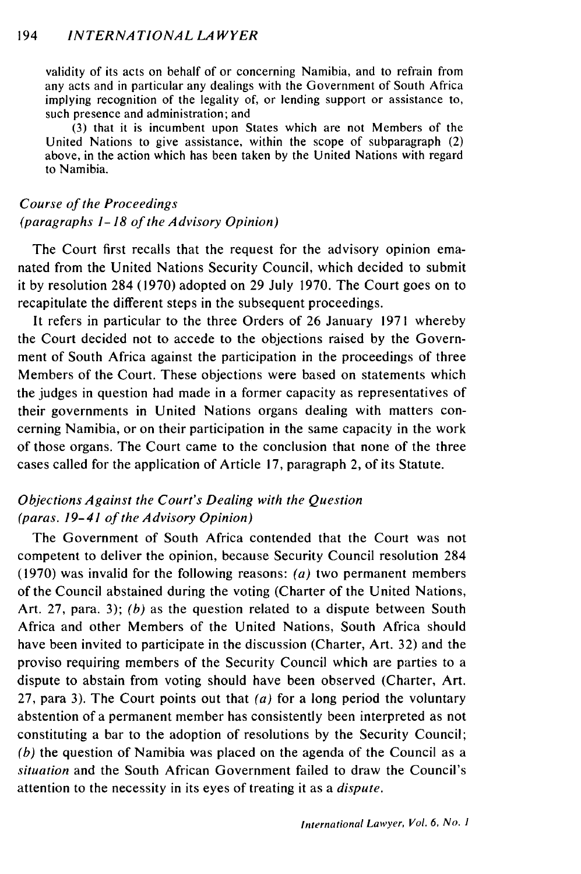validity of its acts on behalf of or concerning Namibia, and to refrain from any acts and in particular any dealings with the Government of South Africa implying recognition of the legality of, or lending support or assistance to, such presence and administration; and

**(3)** that it is incumbent upon States which are not Members of the United Nations to give assistance, within the scope of subparagraph (2) above, in the action which has been taken by the United Nations with regard to Namibia.

# Course of the Proceedings (paragraphs 1-18 of the Advisory Opinion)

The Court first recalls that the request for the advisory opinion emanated from the United Nations Security Council, which decided to submit it by resolution 284 (1970) adopted on 29 July 1970. The Court goes on to recapitulate the different steps in the subsequent proceedings.

It refers in particular to the three Orders of 26 January 1971 whereby the Court decided not to accede to the objections raised by the Government of South Africa against the participation in the proceedings of three Members of the Court. These objections were based on statements which the judges in question had made in a former capacity as representatives of their governments in United Nations organs dealing with matters concerning Namibia, or on their participation in the same capacity in the work of those organs. The Court came to the conclusion that none of the three cases called for the application of Article 17, paragraph 2, of its Statute.

## Objections Against the Court's Dealing with the Question (paras. 19-41 of the Advisory Opinion)

The Government of South Africa contended that the Court was not competent to deliver the opinion, because Security Council resolution 284 (1970) was invalid for the following reasons:  $(a)$  two permanent members of the Council abstained during the voting (Charter of the United Nations, Art. 27, para. 3); *(b)* as the question related to a dispute between South Africa and other Members of the United Nations, South Africa should have been invited to participate in the discussion (Charter, Art. 32) and the proviso requiring members of the Security Council which are parties to a dispute to abstain from voting should have been observed (Charter, Art. 27, para 3). The Court points out that  $(a)$  for a long period the voluntary abstention of a permanent member has consistently been interpreted as not constituting a bar to the adoption of resolutions by the Security Council; *(b)* the question of Namibia was placed on the agenda of the Council as a situation and the South African Government failed to draw the Council's attention to the necessity in its eyes of treating it as a *dispute.*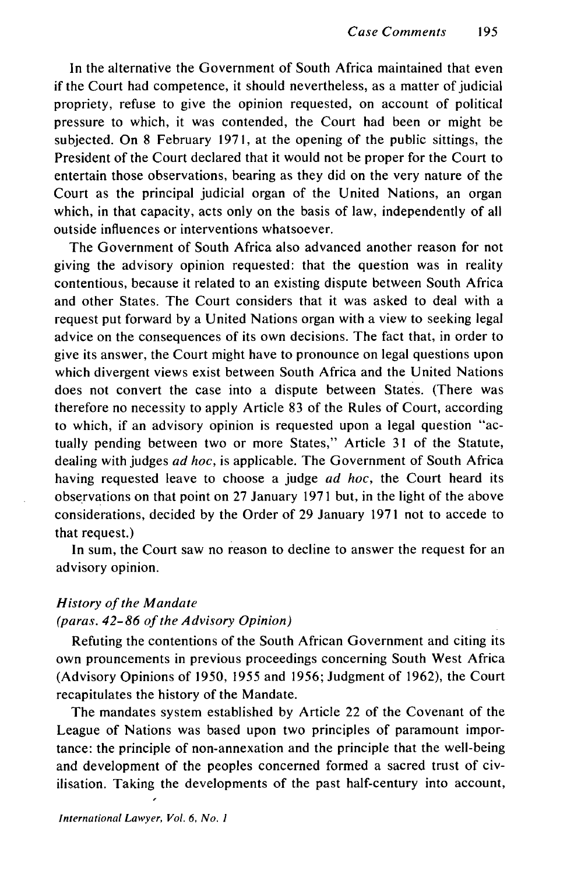In the alternative the Government of South Africa maintained that even if the Court had competence, it should nevertheless, as a matter of judicial propriety, refuse to give the opinion requested, on account of political pressure to which, it was contended, the Court had been or might be subjected. On 8 February 1971, at the opening of the public sittings, the President of the Court declared that it would not be proper for the Court to entertain those observations, bearing as they did on the very nature of the Court as the principal judicial organ of the United Nations, an organ which, in that capacity, acts only on the basis of law, independently of all outside influences or interventions whatsoever.

The Government of South Africa also advanced another reason for not giving the advisory opinion requested: that the question was in reality contentious, because it related to an existing dispute between South Africa and other States. The Court considers that it was asked to deal with a request put forward by a United Nations organ with a view to seeking legal advice on the consequences of its own decisions. The fact that, in order to give its answer, the Court might have to pronounce on legal questions upon which divergent views exist between South Africa and the United Nations does not convert the case into a dispute between States. (There was therefore no necessity to apply Article 83 of the Rules of Court, according to which, if an advisory opinion is requested upon a legal question "actually pending between two or more States," Article 31 of the Statute, dealing with judges *ad hoc,* is applicable. The Government of South Africa having requested leave to choose a judge *ad hoc,* the Court heard its observations on that point on 27 January 1971 but, in the light of the above considerations, decided by the Order of 29 January 1971 not to accede to that request.)

In sum, the Court saw no reason to decline to answer the request for an advisory opinion.

### *History of the Mandate*

### *(paras. 42-86 of the Advisory Opinion)*

Refuting the contentions of the South African Government and citing its own prouncements in previous proceedings concerning South West Africa (Advisory Opinions of 1950, 1955 and 1956; Judgment of 1962), the Court recapitulates the history of the Mandate.

The mandates system established by Article 22 of the Covenant of the League of Nations was based upon two principles of paramount importance: the principle of non-annexation and the principle that the well-being and development of the peoples concerned formed a sacred trust of civilisation. Taking the developments of the past half-century into account,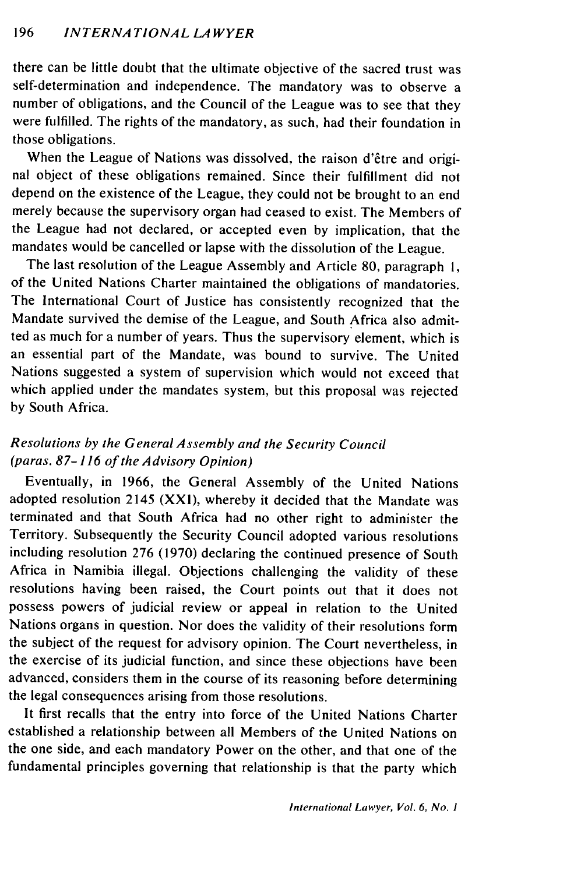there can be little doubt that the ultimate objective of the sacred trust was self-determination and independence. The mandatory was to observe a number of obligations, and the Council of the League was to see that they were fulfilled. The rights of the mandatory, as such, had their foundation in those obligations.

When the League of Nations was dissolved, the raison d'être and original object of these obligations remained. Since their fulfillment did not depend on the existence of the League, they could not be brought to an end merely because the supervisory organ had ceased to exist. The Members of the League had not declared, or accepted even by implication, that the mandates would be cancelled or lapse with the dissolution of the League.

The last resolution of the League Assembly and Article 80, paragraph **1,** of the United Nations Charter maintained the obligations of mandatories. The International Court of Justice has consistently recognized that the Mandate survived the demise of the League, and South Africa also admitted as much for a number of years. Thus the supervisory element, which is an essential part of the Mandate, was bound to survive. The United Nations suggested a system of supervision which would not exceed that which applied under the mandates system, but this proposal was rejected by South Africa.

# *Resolutions by the General Assembly and the Security Council (paras. 87- 116 of the Advisory Opinion)*

Eventually, in 1966, the General Assembly of the United Nations adopted resolution 2145 (XXI), whereby it decided that the Mandate was terminated and that South Africa had no other right to administer the Territory. Subsequently the Security Council adopted various resolutions including resolution 276 (1970) declaring the continued presence of South Africa in Namibia illegal. Objections challenging the validity of these resolutions having been raised, the Court points out that it does not possess powers of judicial review or appeal in relation to the United Nations organs in question. Nor does the validity of their resolutions form the subject of the request for advisory opinion. The Court nevertheless, in the exercise of its judicial function, and since these objections have been advanced, considers them in the course of its reasoning before determining the legal consequences arising from those resolutions.

It first recalls that the entry into force of the United Nations Charter established a relationship between all Members of the United Nations on the one side, and each mandatory Power on the other, and that one of the fundamental principles governing that relationship is that the party which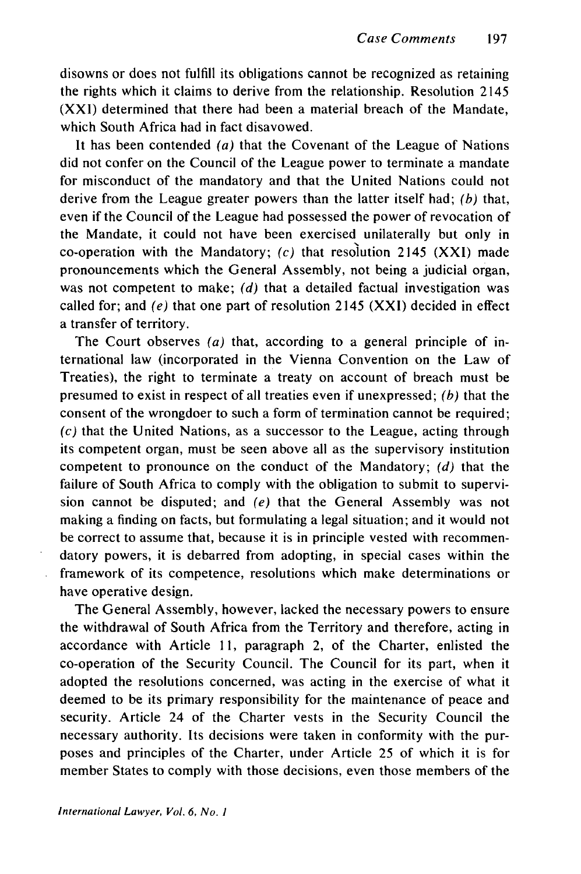disowns or does not fulfill its obligations cannot be recognized as retaining the rights which it claims to derive from the relationship. Resolution 2145 (XXI) determined that there had been a material breach of the Mandate, which South Africa had in fact disavowed.

It has been contended  $(a)$  that the Covenant of the League of Nations did not confer on the Council of the League power to terminate a mandate for misconduct of the mandatory and that the United Nations could not derive from the League greater powers than the latter itself had;  $(b)$  that, even if the Council of the League had possessed the power of revocation of the Mandate, it could not have been exercised unilaterally but only in co-operation with the Mandatory;  $(c)$  that resolution 2145 (XXI) made pronouncements which the General Assembly, not being a judicial organ, was not competent to make;  $(d)$  that a detailed factual investigation was called for; and  $(e)$  that one part of resolution 2145 (XXI) decided in effect a transfer of territory.

The Court observes  $(a)$  that, according to a general principle of international law (incorporated in the Vienna Convention on the Law of Treaties), the right to terminate a treaty on account of breach must be presumed to exist in respect of all treaties even if unexpressed;  $(b)$  that the consent of the wrongdoer to such a form of termination cannot be required; (c) that the United Nations, as a successor to the League, acting through its competent organ, must be seen above all as the supervisory institution competent to pronounce on the conduct of the Mandatory; (d) that the failure of South Africa to comply with the obligation to submit to supervision cannot be disputed; and  $(e)$  that the General Assembly was not making a finding on facts, but formulating a legal situation; and it would not be correct to assume that, because it is in principle vested with recommendatory powers, it is debarred from adopting, in special cases within the framework of its competence, resolutions which make determinations or have operative design.

The General Assembly, however, lacked the necessary powers to ensure the withdrawal of South Africa from the Territory and therefore, acting in accordance with Article 11, paragraph 2, of the Charter, enlisted the co-operation of the Security Council. The Council for its part, when it adopted the resolutions concerned, was acting in the exercise of what it deemed to be its primary responsibility for the maintenance of peace and security. Article 24 of the Charter vests in the Security Council the necessary authority. Its decisions were taken in conformity with the purposes and principles of the Charter, under Article 25 of which it is for member States to comply with those decisions, even those members of the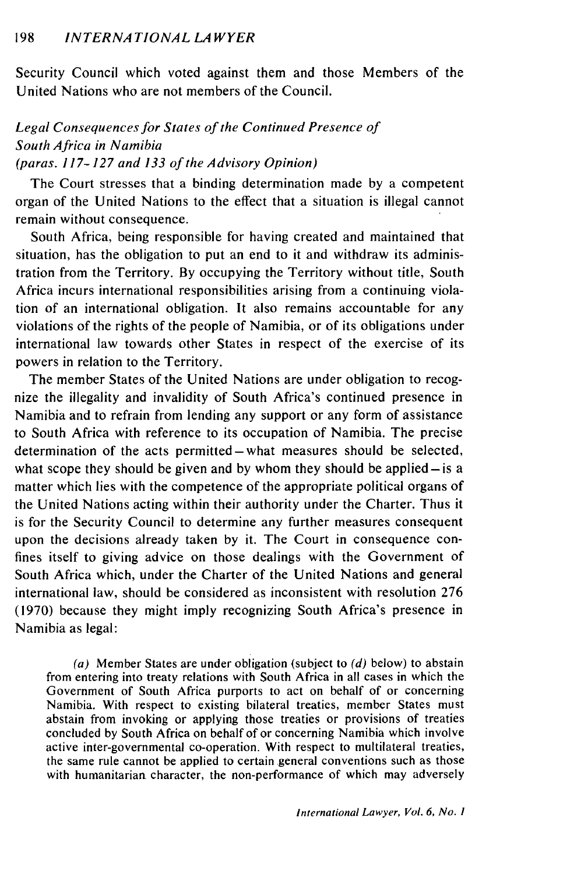Security Council which voted against them and those Members of the United Nations who are not members of the Council.

# *Legal* Consequences for States of the Continued Presence of South Africa in Namibia (paras. 117-127 and 133 of the Advisory Opinion)

The Court stresses that a binding determination made by a competent organ of the United Nations to the effect that a situation is illegal cannot remain without consequence.

South Africa, being responsible for having created and maintained that situation, has the obligation to put an end to it and withdraw its administration from the Territory. By occupying the Territory without title, South Africa incurs international responsibilities arising from a continuing violation of an international obligation. It also remains accountable for any violations of the rights of the people of Namibia, or of its obligations under international law towards other States in respect of the exercise of its powers in relation to the Territory.

The member States of the United Nations are under obligation to recognize the illegality and invalidity of South Africa's continued presence in Namibia and to refrain from lending any support or any form of assistance to South Africa with reference to its occupation of Namibia. The precise determination of the acts permitted-what measures should be selected, what scope they should be given and by whom they should be applied $-\mathrm{i}\mathrm{s}$  a matter which lies with the competence of the appropriate political organs of the United Nations acting within their authority under the Charter. Thus it is for the Security Council to determine any further measures consequent upon the decisions already taken by it. The Court in consequence confines itself to giving advice on those dealings with the Government of South Africa which, under the Charter of the United Nations and general international law, should be considered as inconsistent with resolution 276 (1970) because they might imply recognizing South Africa's presence in Namibia as legal:

(a) Member States are under obligation (subject to  $(d)$  below) to abstain from entering into treaty relations with South Africa in all cases in which the Government of South Africa purports to act on behalf of or concerning Namibia. With respect to existing bilateral treaties, member States must abstain from invoking or applying those treaties or provisions of treaties concluded by South Africa on behalf of or concerning Namibia which involve active inter-governmental co-operation. With respect to multilateral treaties, the same rule cannot be applied to certain general conventions such as those with humanitarian character, the non-performance of which may adversely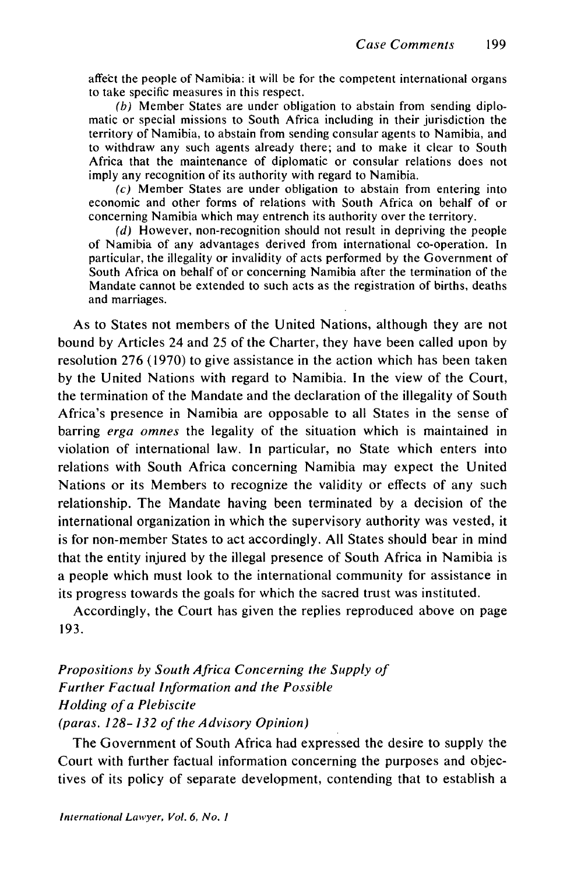affe'ct the people of Namibia: it will be for the competent international organs to take specific measures in this respect.

*(b)* Member States are under obligation to abstain from sending diplomatic or special missions to South Africa including in their jurisdiction the territory of Namibia, to abstain from sending consular agents to Namibia, and to withdraw any such agents already there; and to make it clear to South Africa that the maintenance of diplomatic or consular relations does not imply any recognition of its authority with regard to Namibia.

(c) Member States are under obligation to abstain from entering into economic and other forms of relations with South Africa on behalf of or concerning Namibia which may entrench its authority over the territory.

*(d)* However, non-recognition should not result in depriving the people of Namibia of any advantages derived from international co-operation. In particular, the illegality or invalidity of acts performed by the Government of South Africa on behalf of or concerning Namibia after the termination of the Mandate cannot be extended to such acts as the registration of births, deaths and marriages.

As to States not members of the United Nations, although they are not bound by Articles 24 and 25 of the Charter, they have been called upon by resolution 276 (1970) to give assistance in the action which has been taken by the United Nations with regard to Namibia. In the view of the Court, the termination of the Mandate and the declaration of the illegality of South Africa's presence in Namibia are opposable to all States in the sense of barring *erga omnes* the legality of the situation which is maintained in violation of international law. In particular, no State which enters into relations with South Africa concerning Namibia may expect the United Nations or its Members to recognize the validity or effects of any such relationship. The Mandate having been terminated by a decision of the international organization in which the supervisory authority was vested, it is for non-member States to act accordingly. All States should bear in mind that the entity injured by the illegal presence of South Africa in Namibia is a people which must look to the international community for assistance in its progress towards the goals for which the sacred trust was instituted.

Accordingly, the Court has given the replies reproduced above on page 193.

*Propositions by South Africa Concerning the Supply of Further Factual Information and the Possible Holding of a Plebiscite (paras. 128- 132 of the Advisory Opinion)*

The Government of South Africa had expressed the desire to supply the Court with further factual information concerning the purposes and objectives of its policy of separate development, contending that to establish a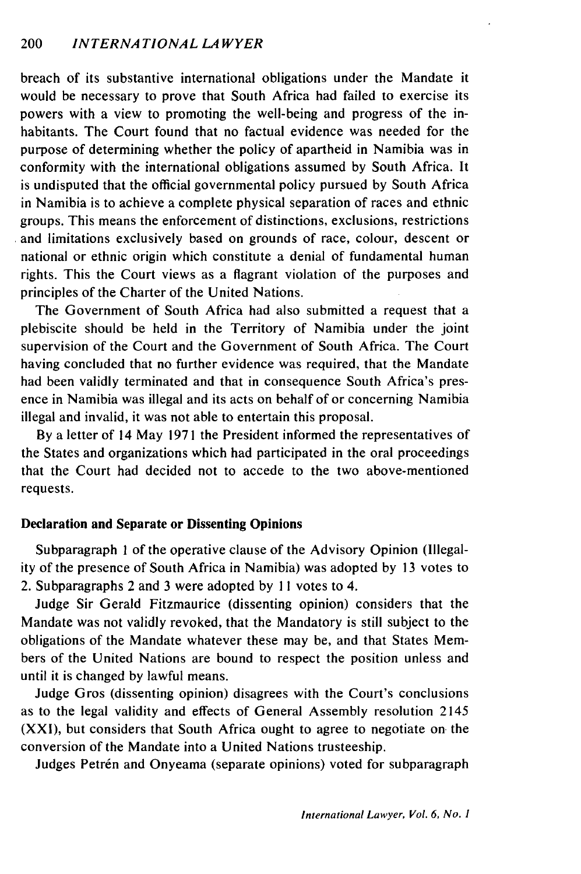breach of its substantive international obligations under the Mandate it would be necessary to prove that South Africa had failed to exercise its powers with a view to promoting the well-being and progress of the inhabitants. The Court found that no factual evidence was needed for the purpose of determining whether the policy of apartheid in Namibia was in conformity with the international obligations assumed by South Africa. It is undisputed that the official governmental policy pursued by South Africa in Namibia is to achieve a complete physical separation of races and ethnic groups. This means the enforcement of distinctions, exclusions, restrictions and limitations exclusively based on grounds of race, colour, descent or national or ethnic origin which constitute a denial of fundamental human rights. This the Court views as a flagrant violation of the purposes and principles of the Charter of the United Nations.

The Government of South Africa had also submitted a request that a plebiscite should be held in the Territory of Namibia under the joint supervision of the Court and the Government of South Africa. The Court having concluded that no further evidence was required, that the Mandate had been validly terminated and that in consequence South Africa's presence in Namibia was illegal and its acts on behalf of or concerning Namibia illegal and invalid, it was not able to entertain this proposal.

By a letter of 14 May 1971 the President informed the representatives of the States and organizations which had participated in the oral proceedings that the Court had decided not to accede to the two above-mentioned requests.

### Declaration and Separate or Dissenting Opinions

Subparagraph **I** of the operative clause of the Advisory Opinion (Illegality of the presence of South Africa in Namibia) was adopted by 13 votes to 2. Subparagraphs 2 and 3 were adopted by **II** votes to 4.

Judge Sir Gerald Fitzmaurice (dissenting opinion) considers that the Mandate was not validly revoked, that the Mandatory is still subject to the obligations of the Mandate whatever these may be, and that States Members of the United Nations are bound to respect the position unless and until it is changed by lawful means.

Judge Gros (dissenting opinion) disagrees with the Court's conclusions as to the legal validity and effects of General Assembly resolution 2145 (XXI), but considers that South Africa ought to agree to negotiate on the conversion of the Mandate into a United Nations trusteeship.

Judges Petrén and Onyeama (separate opinions) voted for subparagraph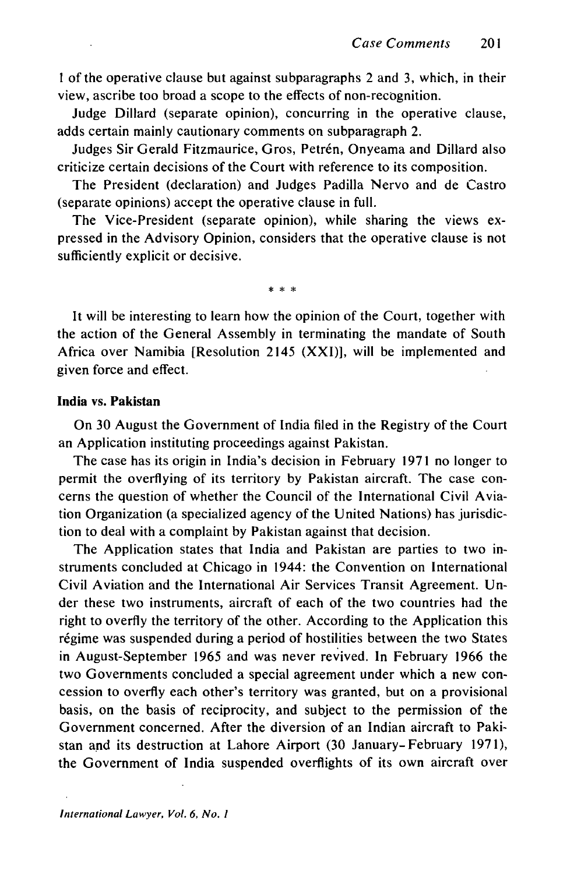**I** of the operative clause but against subparagraphs 2 and 3, which, in their view, ascribe too broad a scope to the effects of non-recognition.

Judge Dillard (separate opinion), concurring in the operative clause, adds certain mainly cautionary comments on subparagraph 2.

Judges Sir Gerald Fitzmaurice, Gros, Petrén, Onyeama and Dillard also criticize certain decisions of the Court with reference to its composition.

The President (declaration) and Judges Padilla Nervo and de Castro (separate opinions) accept the operative clause in full.

The Vice-President (separate opinion), while sharing the views expressed in the Advisory Opinion, considers that the operative clause is not sufficiently explicit or decisive.

 $* * *$ 

It will be interesting to learn how the opinion of the Court, together with the action of the General Assembly in terminating the mandate of South Africa over Namibia [Resolution 2145 (XXI)], will be implemented and given force and effect.

### India vs. Pakistan

On **30** August the Government of India filed in the Registry of the Court an Application instituting proceedings against Pakistan.

The case has its origin in India's decision in February **1971** no longer to permit the overflying of its territory **by** Pakistan aircraft. The case concerns the question of whether the Council of the International Civil Aviation Organization (a specialized agency of the United Nations) has jurisdiction to deal with a complaint **by** Pakistan against that decision.

The Application states that India and Pakistan are parties to two instruments concluded at Chicago in 1944: the Convention on International Civil Aviation and the International Air Services Transit Agreement. Under these two instruments, aircraft of each of the two countries had the right to overfly the territory of the other. According to the Application this régime was suspended during a period of hostilities between the two States in August-September 1965 and was never revived. In February 1966 the two Governments concluded a special agreement under which a new concession to overfly each other's territory was granted, but on a provisional basis, on the basis of reciprocity, and subject to the permission of the Government concerned. After the diversion of an Indian aircraft to Pakistan and its destruction at Lahore Airport (30 January-February 1971), the Government of India suspended overflights of its own aircraft over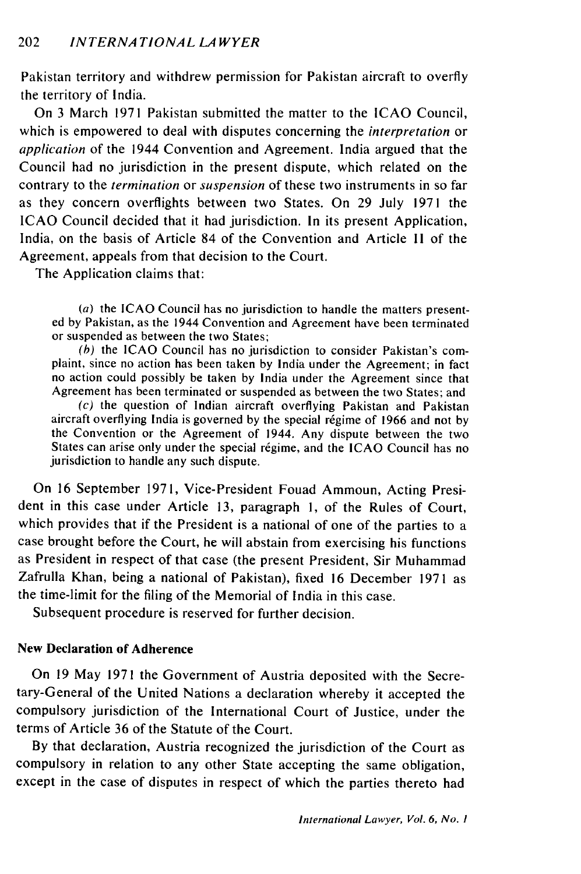Pakistan territory and withdrew permission for Pakistan aircraft to overfly the territory of India.

On 3 March 1971 Pakistan submitted the matter to the ICAO Council, which is empowered to deal with disputes concerning the *interpretation* or *application* of the 1944 Convention and Agreement. India argued that the Council had no jurisdiction in the present dispute, which related on the contrary to the *termination* or *suspension* of these two instruments in so far as they concern overflights between two States. On 29 July 1971 the ICAO Council decided that it had jurisdiction. In its present Application, India, on the basis of Article 84 of the Convention and Article **11** of the Agreement, appeals from that decision to the Court.

The Application claims that:

*(a)* the ICAO Council has no jurisdiction to handle the matters presented by Pakistan, as the 1944 Convention and Agreement have been terminated or suspended as between the two States;

(b) the ICAO Council has no jurisdiction to consider Pakistan's complaint, since no action has been taken by India under the Agreement; in fact no action could possibly be taken by India under the Agreement since that Agreement has been terminated or suspended as between the two States; and

*(c)* the question of Indian aircraft overflying Pakistan and Pakistan aircraft overflying India is governed by the special régime of 1966 and not by the Convention or the Agreement of 1944. Any dispute between the two States can arise only under the special régime, and the ICAO Council has no jurisdiction to handle any such dispute.

On 16 September 1971, Vice-President Fouad Ammoun, Acting President in this case under Article 13, paragraph **1,** of the Rules of Court, which provides that if the President is a national of one of the parties to a case brought before the Court, he will abstain from exercising his functions as President in respect of that case (the present President, Sir Muhammad Zafrulla Khan, being a national of Pakistan), fixed 16 December 1971 as the time-limit for the filing of the Memorial of India in this case.

Subsequent procedure is reserved for further decision.

### New **Declaration of Adherence**

On 19 May 1971 the Government of Austria deposited with the Secretary-General of the United Nations a declaration whereby it accepted the compulsory jurisdiction of the International Court of Justice, under the terms of Article 36 of the Statute of the Court.

By that declaration, Austria recognized the jurisdiction of the Court as compulsory in relation to any other State accepting the same obligation, except in the case of disputes in respect of which the parties thereto had